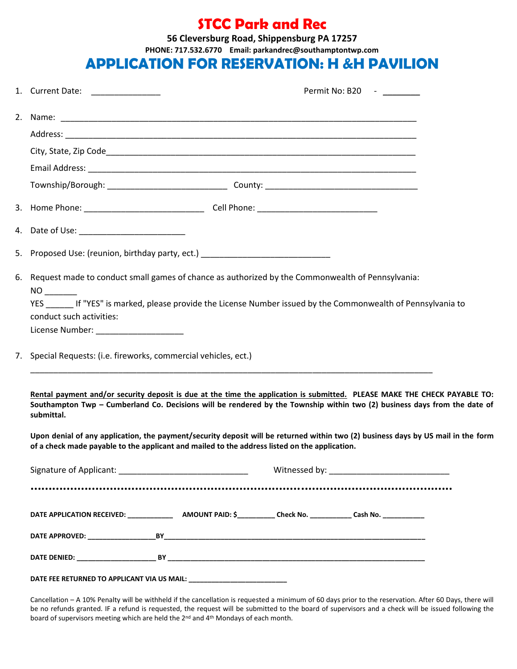## **STCC Park and Rec**

**56 Cleversburg Road, Shippensburg PA 17257**

**PHONE: 717.532.6770 Email: parkandrec@southamptontwp.com**

### APPLICATION FOR RESERVATION: **H &H PAVILION**

|  | 1. Current Date: ________________                                                                                                                                                                                                  |  |  | Permit No: B20 - |  |
|--|------------------------------------------------------------------------------------------------------------------------------------------------------------------------------------------------------------------------------------|--|--|------------------|--|
|  |                                                                                                                                                                                                                                    |  |  |                  |  |
|  |                                                                                                                                                                                                                                    |  |  |                  |  |
|  |                                                                                                                                                                                                                                    |  |  |                  |  |
|  |                                                                                                                                                                                                                                    |  |  |                  |  |
|  |                                                                                                                                                                                                                                    |  |  |                  |  |
|  |                                                                                                                                                                                                                                    |  |  |                  |  |
|  | 4. Date of Use: __________________________                                                                                                                                                                                         |  |  |                  |  |
|  | 5. Proposed Use: (reunion, birthday party, ect.) _______________________________                                                                                                                                                   |  |  |                  |  |
|  | 6. Request made to conduct small games of chance as authorized by the Commonwealth of Pennsylvania:                                                                                                                                |  |  |                  |  |
|  | YES If "YES" is marked, please provide the License Number issued by the Commonwealth of Pennsylvania to<br>conduct such activities:                                                                                                |  |  |                  |  |
|  | License Number: _____________________                                                                                                                                                                                              |  |  |                  |  |
|  | 7. Special Requests: (i.e. fireworks, commercial vehicles, ect.)                                                                                                                                                                   |  |  |                  |  |
|  | Rental payment and/or security deposit is due at the time the application is submitted. PLEASE MAKE THE CHECK PAYABLE TO:                                                                                                          |  |  |                  |  |
|  | Southampton Twp - Cumberland Co. Decisions will be rendered by the Township within two (2) business days from the date of<br>submittal.                                                                                            |  |  |                  |  |
|  | Upon denial of any application, the payment/security deposit will be returned within two (2) business days by US mail in the form<br>of a check made payable to the applicant and mailed to the address listed on the application. |  |  |                  |  |
|  |                                                                                                                                                                                                                                    |  |  |                  |  |
|  |                                                                                                                                                                                                                                    |  |  |                  |  |
|  |                                                                                                                                                                                                                                    |  |  |                  |  |
|  |                                                                                                                                                                                                                                    |  |  |                  |  |
|  |                                                                                                                                                                                                                                    |  |  |                  |  |
|  | DATE FEE RETURNED TO APPLICANT VIA US MAIL: ______________________________                                                                                                                                                         |  |  |                  |  |

Cancellation – A 10% Penalty will be withheld if the cancellation is requested a minimum of 60 days prior to the reservation. After 60 Days, there will be no refunds granted. IF a refund is requested, the request will be submitted to the board of supervisors and a check will be issued following the board of supervisors meeting which are held the 2<sup>nd</sup> and 4<sup>th</sup> Mondays of each month.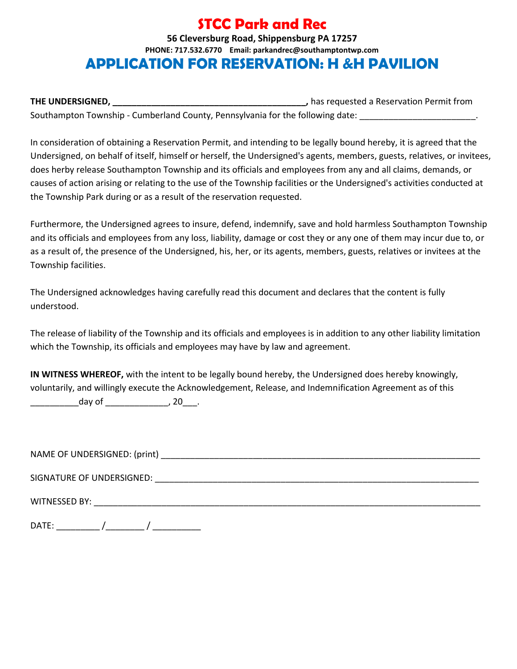# **STCC Park and Rec**

#### **56 Cleversburg Road, Shippensburg PA 17257 PHONE: 717.532.6770 Email: parkandrec@southamptontwp.com** APPLICATION FOR RESERVATION: **H &H PAVILION**

**THE UNDERSIGNED, \_\_\_\_\_\_\_\_\_\_\_\_\_\_\_\_\_\_\_\_\_\_\_\_\_\_\_\_\_\_\_\_\_\_\_\_\_\_\_\_,** has requested a Reservation Permit from Southampton Township - Cumberland County, Pennsylvania for the following date:

In consideration of obtaining a Reservation Permit, and intending to be legally bound hereby, it is agreed that the Undersigned, on behalf of itself, himself or herself, the Undersigned's agents, members, guests, relatives, or invitees, does herby release Southampton Township and its officials and employees from any and all claims, demands, or causes of action arising or relating to the use of the Township facilities or the Undersigned's activities conducted at the Township Park during or as a result of the reservation requested.

Furthermore, the Undersigned agrees to insure, defend, indemnify, save and hold harmless Southampton Township and its officials and employees from any loss, liability, damage or cost they or any one of them may incur due to, or as a result of, the presence of the Undersigned, his, her, or its agents, members, guests, relatives or invitees at the Township facilities.

The Undersigned acknowledges having carefully read this document and declares that the content is fully understood.

The release of liability of the Township and its officials and employees is in addition to any other liability limitation which the Township, its officials and employees may have by law and agreement.

**IN WITNESS WHEREOF,** with the intent to be legally bound hereby, the Undersigned does hereby knowingly, voluntarily, and willingly execute the Acknowledgement, Release, and Indemnification Agreement as of this \_\_\_\_\_\_\_\_\_\_day of \_\_\_\_\_\_\_\_\_\_\_\_\_, 20\_\_\_.

NAME OF UNDERSIGNED: (print) \_\_\_\_\_\_\_\_\_\_\_\_\_\_\_\_\_\_\_\_\_\_\_\_\_\_\_\_\_\_\_\_\_\_\_\_\_\_\_\_\_\_\_\_\_\_\_\_\_\_\_\_\_\_\_\_\_\_\_\_\_\_\_\_\_\_

SIGNATURE OF UNDERSIGNED:  $\blacksquare$ 

WITNESSED BY: **WITNESSED BY: WITNESSED BY:** 

DATE:  $\qquad \qquad / \qquad \qquad / \qquad \qquad$